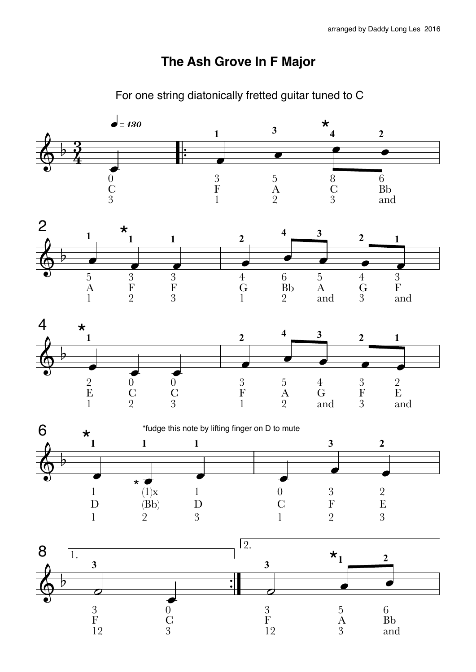## **The Ash Grove In F Major**



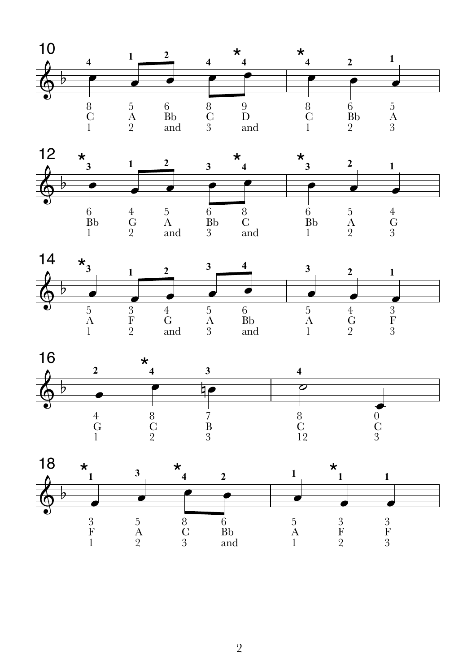